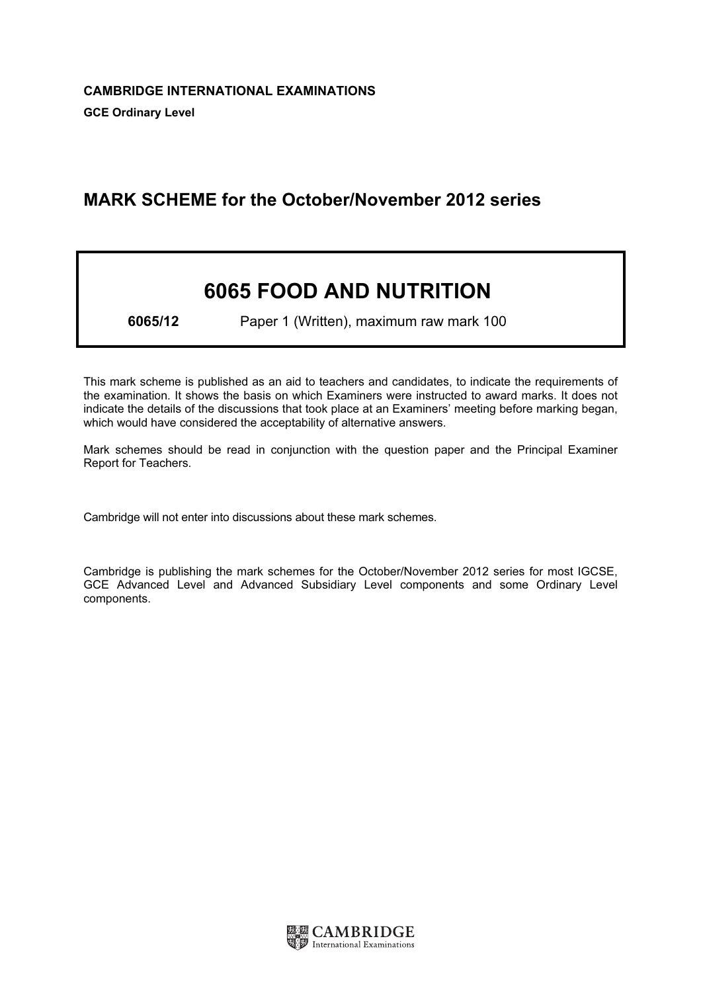# MARK SCHEME for the October/November 2012 series

# 6065 FOOD AND NUTRITION

6065/12 Paper 1 (Written), maximum raw mark 100

This mark scheme is published as an aid to teachers and candidates, to indicate the requirements of the examination. It shows the basis on which Examiners were instructed to award marks. It does not indicate the details of the discussions that took place at an Examiners' meeting before marking began, which would have considered the acceptability of alternative answers.

Mark schemes should be read in conjunction with the question paper and the Principal Examiner Report for Teachers.

Cambridge will not enter into discussions about these mark schemes.

Cambridge is publishing the mark schemes for the October/November 2012 series for most IGCSE, GCE Advanced Level and Advanced Subsidiary Level components and some Ordinary Level components.

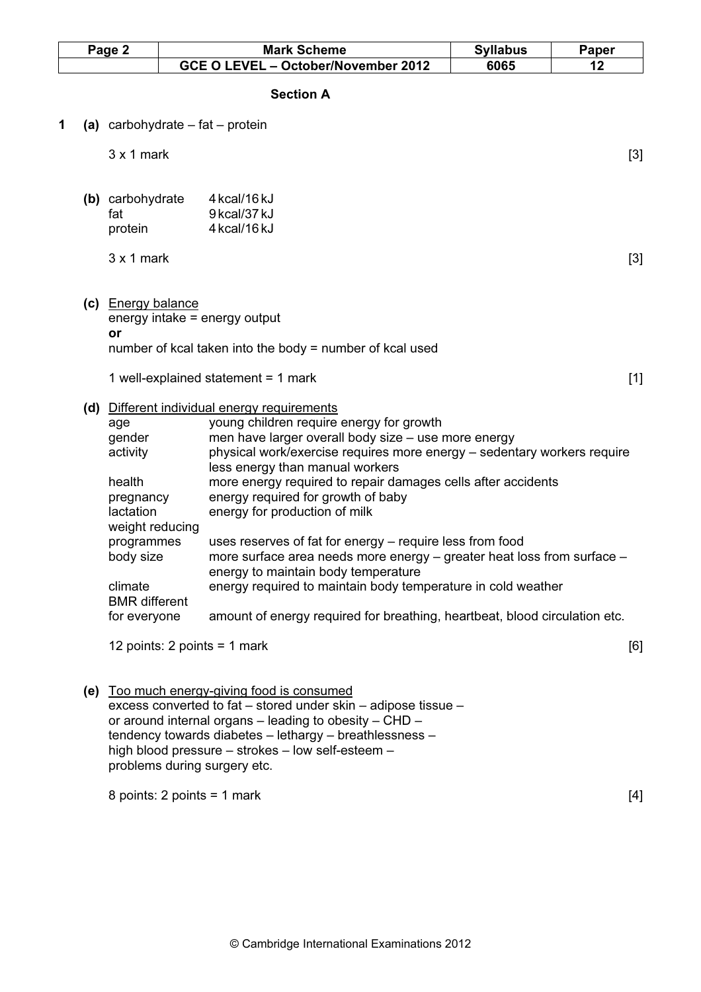| <b>Mark Scheme</b>                                                                                                                                                                                                                                            | <b>Syllabus</b>                             | Paper |
|---------------------------------------------------------------------------------------------------------------------------------------------------------------------------------------------------------------------------------------------------------------|---------------------------------------------|-------|
| GCE O LEVEL - October/November 2012                                                                                                                                                                                                                           | 6065                                        | 12    |
| <b>Section A</b>                                                                                                                                                                                                                                              |                                             |       |
| (a) carbohydrate $-$ fat $-$ protein                                                                                                                                                                                                                          |                                             |       |
|                                                                                                                                                                                                                                                               |                                             | $[3]$ |
| 4 kcal/16 kJ<br>(b) carbohydrate<br>9 kcal/37 kJ<br>4 kcal/16 kJ                                                                                                                                                                                              |                                             |       |
|                                                                                                                                                                                                                                                               |                                             | $[3]$ |
| (c) Energy balance<br>energy intake $=$ energy output<br>number of kcal taken into the body = number of kcal used                                                                                                                                             |                                             |       |
| 1 well-explained statement = $1$ mark                                                                                                                                                                                                                         |                                             | $[1]$ |
| (d) Different individual energy requirements<br>young children require energy for growth<br>men have larger overall body size - use more energy<br>physical work/exercise requires more energy - sedentary workers require<br>less energy than manual workers |                                             |       |
| more energy required to repair damages cells after accidents<br>energy required for growth of baby<br>energy for production of milk<br>weight reducing                                                                                                        |                                             |       |
| uses reserves of fat for energy – require less from food<br>programmes<br>more surface area needs more energy - greater heat loss from surface -<br>energy to maintain body temperature                                                                       |                                             |       |
| energy required to maintain body temperature in cold weather<br><b>BMR</b> different                                                                                                                                                                          |                                             |       |
| amount of energy required for breathing, heartbeat, blood circulation etc.<br>for everyone                                                                                                                                                                    |                                             |       |
| 12 points: 2 points = 1 mark                                                                                                                                                                                                                                  |                                             | [6]   |
|                                                                                                                                                                                                                                                               | (e) Too much energy-giving food is consumed |       |

 excess converted to fat – stored under skin – adipose tissue – or around internal organs – leading to obesity – CHD – tendency towards diabetes – lethargy – breathlessness – high blood pressure – strokes – low self-esteem – problems during surgery etc.

 $8 \text{ points: } 2 \text{ points} = 1 \text{ mark}$  [4]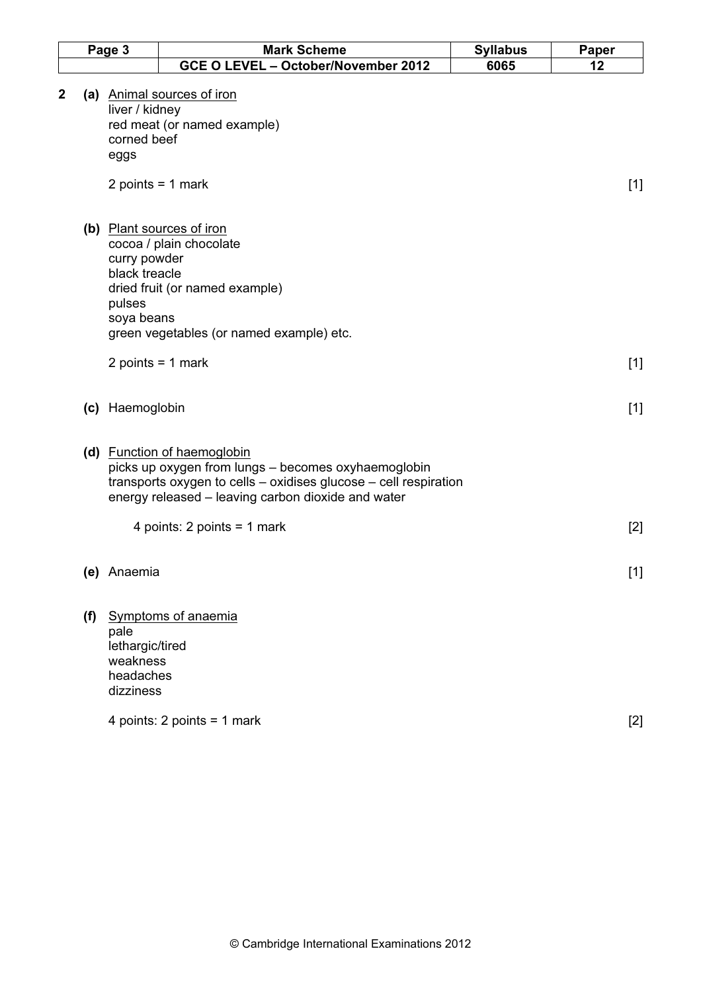| Page 3 |                                                               | <b>Mark Scheme</b>                                                                                                                                                                                                                            | <b>Syllabus</b> | Paper |  |
|--------|---------------------------------------------------------------|-----------------------------------------------------------------------------------------------------------------------------------------------------------------------------------------------------------------------------------------------|-----------------|-------|--|
|        |                                                               | GCE O LEVEL - October/November 2012                                                                                                                                                                                                           | 6065            | 12    |  |
| 2      | liver / kidney<br>corned beef<br>eggs                         | (a) Animal sources of iron<br>red meat (or named example)<br>2 points = $1$ mark                                                                                                                                                              |                 | $[1]$ |  |
|        | curry powder<br>black treacle<br>pulses<br>soya beans         | (b) Plant sources of iron<br>cocoa / plain chocolate<br>dried fruit (or named example)<br>green vegetables (or named example) etc.                                                                                                            |                 |       |  |
|        | 2 points = $1$ mark                                           |                                                                                                                                                                                                                                               |                 | $[1]$ |  |
|        | (c) Haemoglobin                                               |                                                                                                                                                                                                                                               |                 | $[1]$ |  |
|        |                                                               | (d) Function of haemoglobin<br>picks up oxygen from lungs - becomes oxyhaemoglobin<br>transports oxygen to cells - oxidises glucose - cell respiration<br>energy released - leaving carbon dioxide and water<br>4 points: $2$ points = 1 mark |                 | $[2]$ |  |
|        | (e) Anaemia                                                   |                                                                                                                                                                                                                                               |                 | $[1]$ |  |
| (f)    | pale<br>lethargic/tired<br>weakness<br>headaches<br>dizziness | <b>Symptoms of anaemia</b>                                                                                                                                                                                                                    |                 |       |  |
|        |                                                               | 4 points: $2$ points = 1 mark                                                                                                                                                                                                                 |                 | $[2]$ |  |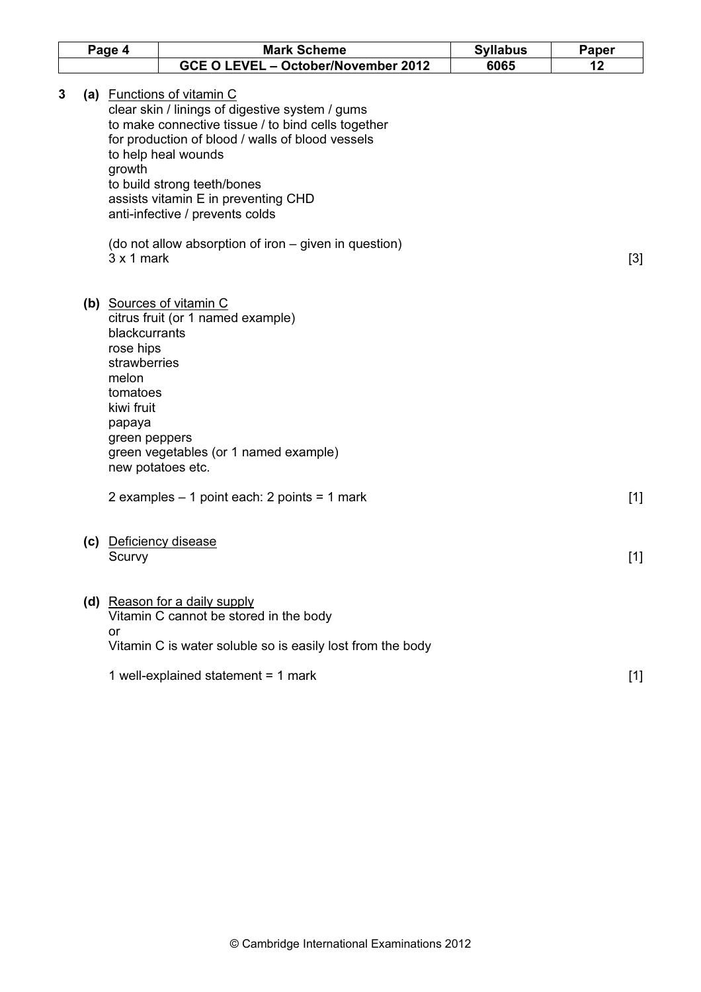|   | Page 4 |                                                                                                          | <b>Mark Scheme</b>                                                                                                                                                                                                                                                                                                      | <b>Syllabus</b> | Paper |
|---|--------|----------------------------------------------------------------------------------------------------------|-------------------------------------------------------------------------------------------------------------------------------------------------------------------------------------------------------------------------------------------------------------------------------------------------------------------------|-----------------|-------|
|   |        |                                                                                                          | GCE O LEVEL - October/November 2012                                                                                                                                                                                                                                                                                     | 6065            | 12    |
| 3 |        | growth                                                                                                   | (a) Functions of vitamin C<br>clear skin / linings of digestive system / gums<br>to make connective tissue / to bind cells together<br>for production of blood / walls of blood vessels<br>to help heal wounds<br>to build strong teeth/bones<br>assists vitamin E in preventing CHD<br>anti-infective / prevents colds |                 |       |
|   |        | $3 \times 1$ mark                                                                                        | (do not allow absorption of iron – given in question)                                                                                                                                                                                                                                                                   |                 | $[3]$ |
|   |        | blackcurrants<br>rose hips<br>strawberries<br>melon<br>tomatoes<br>kiwi fruit<br>papaya<br>green peppers | (b) Sources of vitamin C<br>citrus fruit (or 1 named example)<br>green vegetables (or 1 named example)<br>new potatoes etc.                                                                                                                                                                                             |                 |       |
|   |        |                                                                                                          | 2 examples $-1$ point each: 2 points = 1 mark                                                                                                                                                                                                                                                                           |                 | $[1]$ |
|   | (c)    | Scurvy                                                                                                   | <b>Deficiency disease</b>                                                                                                                                                                                                                                                                                               |                 | $[1]$ |
|   |        | or                                                                                                       | (d) Reason for a daily supply<br>Vitamin C cannot be stored in the body<br>Vitamin C is water soluble so is easily lost from the body                                                                                                                                                                                   |                 |       |
|   |        |                                                                                                          | 1 well-explained statement = $1$ mark                                                                                                                                                                                                                                                                                   |                 | $[1]$ |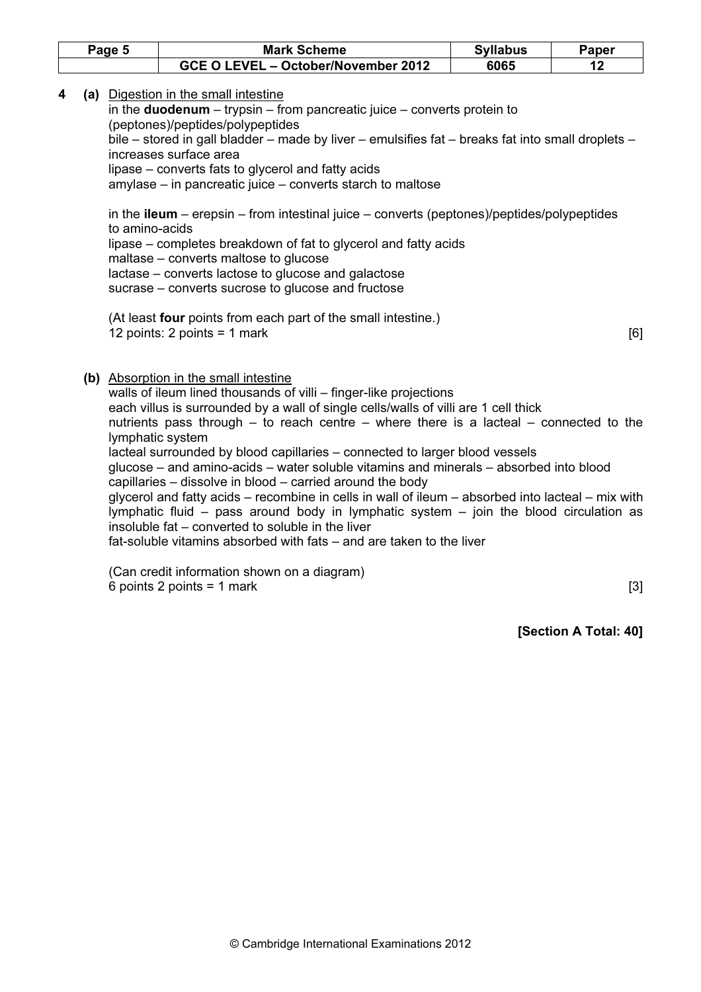| Page 5 | <b>Mark Scheme</b>                  | <b>Syllabus</b> | Paper |
|--------|-------------------------------------|-----------------|-------|
|        | GCE O LEVEL - October/November 2012 | 6065            |       |

4 (a) Digestion in the small intestine

in the **duodenum** – trypsin – from pancreatic juice – converts protein to (peptones)/peptides/polypeptides bile – stored in gall bladder – made by liver – emulsifies fat – breaks fat into small droplets – increases surface area

lipase – converts fats to glycerol and fatty acids

amylase – in pancreatic juice – converts starch to maltose

in the **ileum** – erepsin – from intestinal juice – converts (peptones)/peptides/polypeptides to amino-acids lipase – completes breakdown of fat to glycerol and fatty acids maltase – converts maltose to glucose lactase – converts lactose to glucose and galactose sucrase – converts sucrose to glucose and fructose

 (At least four points from each part of the small intestine.) 12 points: 2 points = 1 mark [6]

(b) Absorption in the small intestine

walls of ileum lined thousands of villi – finger-like projections each villus is surrounded by a wall of single cells/walls of villi are 1 cell thick nutrients pass through – to reach centre – where there is a lacteal – connected to the lymphatic system lacteal surrounded by blood capillaries – connected to larger blood vessels glucose – and amino-acids – water soluble vitamins and minerals – absorbed into blood capillaries – dissolve in blood – carried around the body glycerol and fatty acids – recombine in cells in wall of ileum – absorbed into lacteal – mix with lymphatic fluid – pass around body in lymphatic system – join the blood circulation as insoluble fat – converted to soluble in the liver fat-soluble vitamins absorbed with fats – and are taken to the liver

(Can credit information shown on a diagram)  $6$  points 2 points = 1 mark [3]

[Section A Total: 40]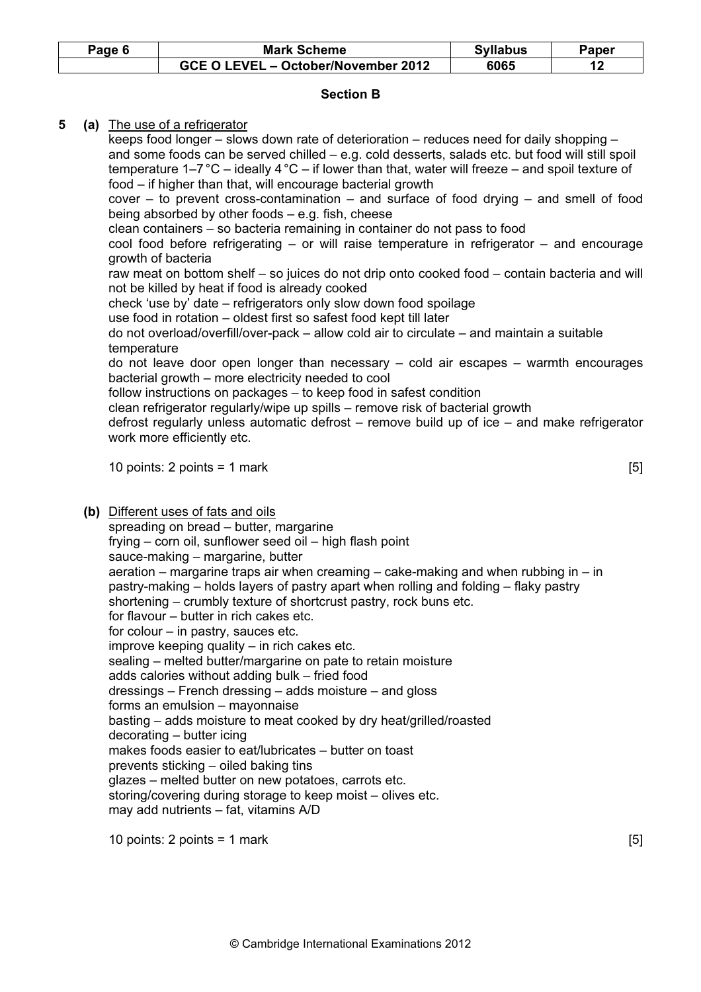| Page 6 | <b>Mark Scheme</b>                  | <b>Syllabus</b> | Paper |
|--------|-------------------------------------|-----------------|-------|
|        | GCE O LEVEL - October/November 2012 | 6065            |       |

# Section B

# 5 (a) The use of a refrigerator

 keeps food longer – slows down rate of deterioration – reduces need for daily shopping – and some foods can be served chilled – e.g. cold desserts, salads etc. but food will still spoil temperature  $1-7\degree$ C – ideally  $4\degree$ C – if lower than that, water will freeze – and spoil texture of food – if higher than that, will encourage bacterial growth cover – to prevent cross-contamination – and surface of food drying – and smell of food being absorbed by other foods – e.g. fish, cheese clean containers – so bacteria remaining in container do not pass to food cool food before refrigerating – or will raise temperature in refrigerator – and encourage growth of bacteria raw meat on bottom shelf – so juices do not drip onto cooked food – contain bacteria and will not be killed by heat if food is already cooked check 'use by' date – refrigerators only slow down food spoilage use food in rotation – oldest first so safest food kept till later do not overload/overfill/over-pack – allow cold air to circulate – and maintain a suitable temperature do not leave door open longer than necessary – cold air escapes – warmth encourages bacterial growth – more electricity needed to cool follow instructions on packages – to keep food in safest condition clean refrigerator regularly/wipe up spills – remove risk of bacterial growth defrost regularly unless automatic defrost – remove build up of ice – and make refrigerator work more efficiently etc.

10 points: 2 points = 1 mark  $[5]$ 

(b) Different uses of fats and oils

spreading on bread – butter, margarine frying – corn oil, sunflower seed oil – high flash point sauce-making – margarine, butter aeration – margarine traps air when creaming – cake-making and when rubbing in – in pastry-making – holds layers of pastry apart when rolling and folding – flaky pastry shortening – crumbly texture of shortcrust pastry, rock buns etc. for flavour – butter in rich cakes etc. for colour  $-$  in pastry, sauces etc. improve keeping quality – in rich cakes etc. sealing – melted butter/margarine on pate to retain moisture adds calories without adding bulk – fried food dressings – French dressing – adds moisture – and gloss forms an emulsion – mayonnaise basting – adds moisture to meat cooked by dry heat/grilled/roasted decorating – butter icing makes foods easier to eat/lubricates – butter on toast prevents sticking – oiled baking tins glazes – melted butter on new potatoes, carrots etc. storing/covering during storage to keep moist – olives etc. may add nutrients – fat, vitamins A/D

10 points: 2 points = 1 mark  $[5]$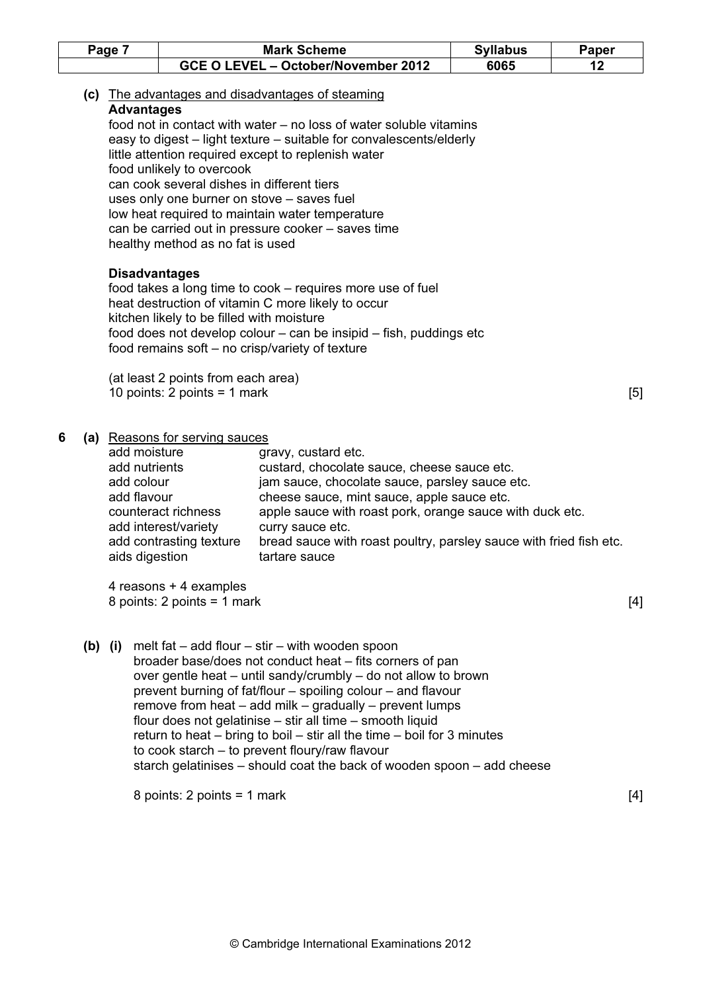|   | Page 7                                                                       |                                                                                                             | <b>Mark Scheme</b>                                                                                                                                                                                                                                                                                                                                                                                                                                                                                                                                                                             | <b>Syllabus</b> | <b>Paper</b> |
|---|------------------------------------------------------------------------------|-------------------------------------------------------------------------------------------------------------|------------------------------------------------------------------------------------------------------------------------------------------------------------------------------------------------------------------------------------------------------------------------------------------------------------------------------------------------------------------------------------------------------------------------------------------------------------------------------------------------------------------------------------------------------------------------------------------------|-----------------|--------------|
|   |                                                                              |                                                                                                             | GCE O LEVEL - October/November 2012                                                                                                                                                                                                                                                                                                                                                                                                                                                                                                                                                            | 6065            | 12           |
|   | <b>Advantages</b>                                                            | food unlikely to overcook<br>can cook several dishes in different tiers<br>healthy method as no fat is used | (c) The advantages and disadvantages of steaming<br>food not in contact with water – no loss of water soluble vitamins<br>easy to digest – light texture – suitable for convalescents/elderly<br>little attention required except to replenish water<br>uses only one burner on stove - saves fuel<br>low heat required to maintain water temperature<br>can be carried out in pressure cooker - saves time                                                                                                                                                                                    |                 |              |
|   | <b>Disadvantages</b>                                                         | kitchen likely to be filled with moisture                                                                   | food takes a long time to cook – requires more use of fuel<br>heat destruction of vitamin C more likely to occur<br>food does not develop colour – can be insipid – fish, puddings etc<br>food remains soft - no crisp/variety of texture                                                                                                                                                                                                                                                                                                                                                      |                 |              |
|   |                                                                              | (at least 2 points from each area)<br>10 points: $2$ points = 1 mark                                        |                                                                                                                                                                                                                                                                                                                                                                                                                                                                                                                                                                                                |                 | [5]          |
| 6 | add moisture<br>add nutrients<br>add colour<br>add flavour<br>aids digestion | (a) Reasons for serving sauces<br>counteract richness<br>add interest/variety<br>add contrasting texture    | gravy, custard etc.<br>custard, chocolate sauce, cheese sauce etc.<br>jam sauce, chocolate sauce, parsley sauce etc.<br>cheese sauce, mint sauce, apple sauce etc.<br>apple sauce with roast pork, orange sauce with duck etc.<br>curry sauce etc.<br>bread sauce with roast poultry, parsley sauce with fried fish etc.<br>tartare sauce                                                                                                                                                                                                                                                      |                 |              |
|   |                                                                              | 4 reasons + 4 examples<br>8 points: $2$ points = 1 mark                                                     |                                                                                                                                                                                                                                                                                                                                                                                                                                                                                                                                                                                                |                 | $[4]$        |
|   | $(b)$ (i)                                                                    |                                                                                                             | melt fat $-$ add flour $-$ stir $-$ with wooden spoon<br>broader base/does not conduct heat - fits corners of pan<br>over gentle heat – until sandy/crumbly – do not allow to brown<br>prevent burning of fat/flour – spoiling colour – and flavour<br>remove from heat $-$ add milk $-$ gradually $-$ prevent lumps<br>flour does not gelatinise - stir all time - smooth liquid<br>return to heat $-$ bring to boil $-$ stir all the time $-$ boil for 3 minutes<br>to cook starch - to prevent floury/raw flavour<br>starch gelatinises – should coat the back of wooden spoon – add cheese |                 |              |
|   |                                                                              | 8 points: $2$ points = 1 mark                                                                               |                                                                                                                                                                                                                                                                                                                                                                                                                                                                                                                                                                                                |                 | $[4]$        |
|   |                                                                              |                                                                                                             |                                                                                                                                                                                                                                                                                                                                                                                                                                                                                                                                                                                                |                 |              |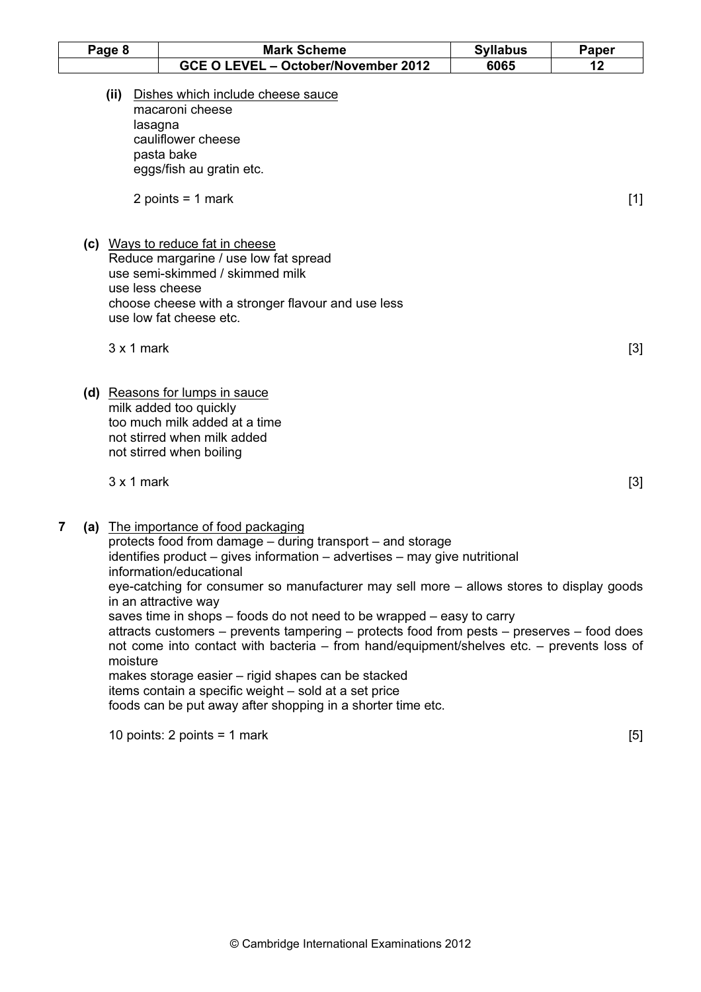| Page 8         |       |                   | <b>Mark Scheme</b>                                                                                                                                                                                                                                                                                                                                                                                                                                                                                                                                                                                  |                         | Paper |
|----------------|-------|-------------------|-----------------------------------------------------------------------------------------------------------------------------------------------------------------------------------------------------------------------------------------------------------------------------------------------------------------------------------------------------------------------------------------------------------------------------------------------------------------------------------------------------------------------------------------------------------------------------------------------------|-------------------------|-------|
|                |       |                   | GCE O LEVEL - October/November 2012                                                                                                                                                                                                                                                                                                                                                                                                                                                                                                                                                                 | <b>Syllabus</b><br>6065 | 12    |
|                | (iii) | lasagna           | Dishes which include cheese sauce<br>macaroni cheese<br>cauliflower cheese<br>pasta bake<br>eggs/fish au gratin etc.<br>2 points = $1$ mark                                                                                                                                                                                                                                                                                                                                                                                                                                                         |                         | $[1]$ |
|                |       |                   | (c) Ways to reduce fat in cheese<br>Reduce margarine / use low fat spread<br>use semi-skimmed / skimmed milk<br>use less cheese<br>choose cheese with a stronger flavour and use less<br>use low fat cheese etc.                                                                                                                                                                                                                                                                                                                                                                                    |                         |       |
|                |       | $3x1$ mark        |                                                                                                                                                                                                                                                                                                                                                                                                                                                                                                                                                                                                     |                         | $[3]$ |
|                |       |                   | (d) Reasons for lumps in sauce<br>milk added too quickly<br>too much milk added at a time<br>not stirred when milk added<br>not stirred when boiling                                                                                                                                                                                                                                                                                                                                                                                                                                                |                         |       |
|                |       | $3 \times 1$ mark |                                                                                                                                                                                                                                                                                                                                                                                                                                                                                                                                                                                                     |                         | $[3]$ |
| $\overline{7}$ |       | moisture          | (a) The importance of food packaging<br>protects food from damage - during transport - and storage<br>identifies product – gives information – advertises – may give nutritional<br>information/educational<br>eye-catching for consumer so manufacturer may sell more – allows stores to display goods<br>in an attractive way<br>saves time in shops – foods do not need to be wrapped – easy to carry<br>attracts customers – prevents tampering – protects food from pests – preserves – food does<br>not come into contact with bacteria - from hand/equipment/shelves etc. - prevents loss of |                         |       |
|                |       |                   | makes storage easier - rigid shapes can be stacked<br>items contain a specific weight - sold at a set price<br>foods can be put away after shopping in a shorter time etc.                                                                                                                                                                                                                                                                                                                                                                                                                          |                         |       |

10 points:  $2$  points = 1 mark  $[5]$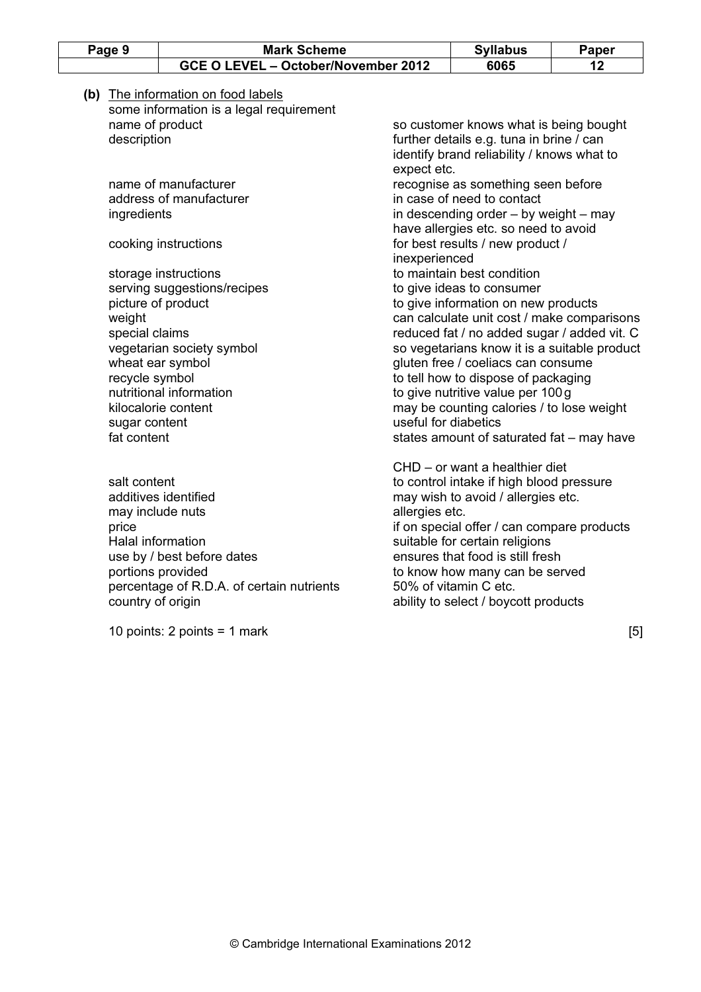| Page 9                                                                                     | <b>Mark Scheme</b>                                                                                                   |                                     | <b>Syllabus</b>                                                                                                                                                                                                                                                                                                                                           | Paper                                                                                  |    |
|--------------------------------------------------------------------------------------------|----------------------------------------------------------------------------------------------------------------------|-------------------------------------|-----------------------------------------------------------------------------------------------------------------------------------------------------------------------------------------------------------------------------------------------------------------------------------------------------------------------------------------------------------|----------------------------------------------------------------------------------------|----|
|                                                                                            |                                                                                                                      | GCE O LEVEL - October/November 2012 |                                                                                                                                                                                                                                                                                                                                                           | 6065                                                                                   | 12 |
|                                                                                            | (b) The information on food labels<br>some information is a legal requirement                                        |                                     |                                                                                                                                                                                                                                                                                                                                                           |                                                                                        |    |
| name of product                                                                            |                                                                                                                      |                                     |                                                                                                                                                                                                                                                                                                                                                           | so customer knows what is being bought                                                 |    |
| description                                                                                |                                                                                                                      |                                     | expect etc.                                                                                                                                                                                                                                                                                                                                               | further details e.g. tuna in brine / can<br>identify brand reliability / knows what to |    |
|                                                                                            | name of manufacturer                                                                                                 |                                     |                                                                                                                                                                                                                                                                                                                                                           | recognise as something seen before                                                     |    |
|                                                                                            | address of manufacturer                                                                                              |                                     |                                                                                                                                                                                                                                                                                                                                                           | in case of need to contact                                                             |    |
| ingredients                                                                                |                                                                                                                      |                                     |                                                                                                                                                                                                                                                                                                                                                           | in descending order $-$ by weight $-$ may<br>have allergies etc. so need to avoid      |    |
|                                                                                            | cooking instructions                                                                                                 |                                     | inexperienced                                                                                                                                                                                                                                                                                                                                             | for best results / new product /                                                       |    |
|                                                                                            | storage instructions                                                                                                 |                                     |                                                                                                                                                                                                                                                                                                                                                           | to maintain best condition                                                             |    |
|                                                                                            | serving suggestions/recipes                                                                                          |                                     |                                                                                                                                                                                                                                                                                                                                                           | to give ideas to consumer                                                              |    |
| picture of product                                                                         |                                                                                                                      |                                     |                                                                                                                                                                                                                                                                                                                                                           | to give information on new products                                                    |    |
| weight                                                                                     |                                                                                                                      |                                     |                                                                                                                                                                                                                                                                                                                                                           | can calculate unit cost / make comparisons                                             |    |
| special claims                                                                             |                                                                                                                      |                                     |                                                                                                                                                                                                                                                                                                                                                           | reduced fat / no added sugar / added vit. C                                            |    |
|                                                                                            | vegetarian society symbol                                                                                            |                                     |                                                                                                                                                                                                                                                                                                                                                           | so vegetarians know it is a suitable product                                           |    |
|                                                                                            | wheat ear symbol                                                                                                     |                                     |                                                                                                                                                                                                                                                                                                                                                           | gluten free / coeliacs can consume                                                     |    |
| recycle symbol                                                                             |                                                                                                                      |                                     |                                                                                                                                                                                                                                                                                                                                                           | to tell how to dispose of packaging                                                    |    |
|                                                                                            | nutritional information                                                                                              |                                     |                                                                                                                                                                                                                                                                                                                                                           | to give nutritive value per 100 g                                                      |    |
|                                                                                            | kilocalorie content                                                                                                  |                                     |                                                                                                                                                                                                                                                                                                                                                           | may be counting calories / to lose weight                                              |    |
| sugar content                                                                              |                                                                                                                      |                                     | useful for diabetics                                                                                                                                                                                                                                                                                                                                      |                                                                                        |    |
| fat content                                                                                |                                                                                                                      |                                     |                                                                                                                                                                                                                                                                                                                                                           | states amount of saturated fat - may have                                              |    |
| salt content<br>may include nuts<br>price<br><b>Halal information</b><br>country of origin | additives identified<br>use by / best before dates<br>portions provided<br>percentage of R.D.A. of certain nutrients |                                     | CHD - or want a healthier diet<br>to control intake if high blood pressure<br>may wish to avoid / allergies etc.<br>allergies etc.<br>if on special offer / can compare products<br>suitable for certain religions<br>ensures that food is still fresh<br>to know how many can be served<br>50% of vitamin C etc.<br>ability to select / boycott products |                                                                                        |    |

10 points:  $2$  points = 1 mark  $[5]$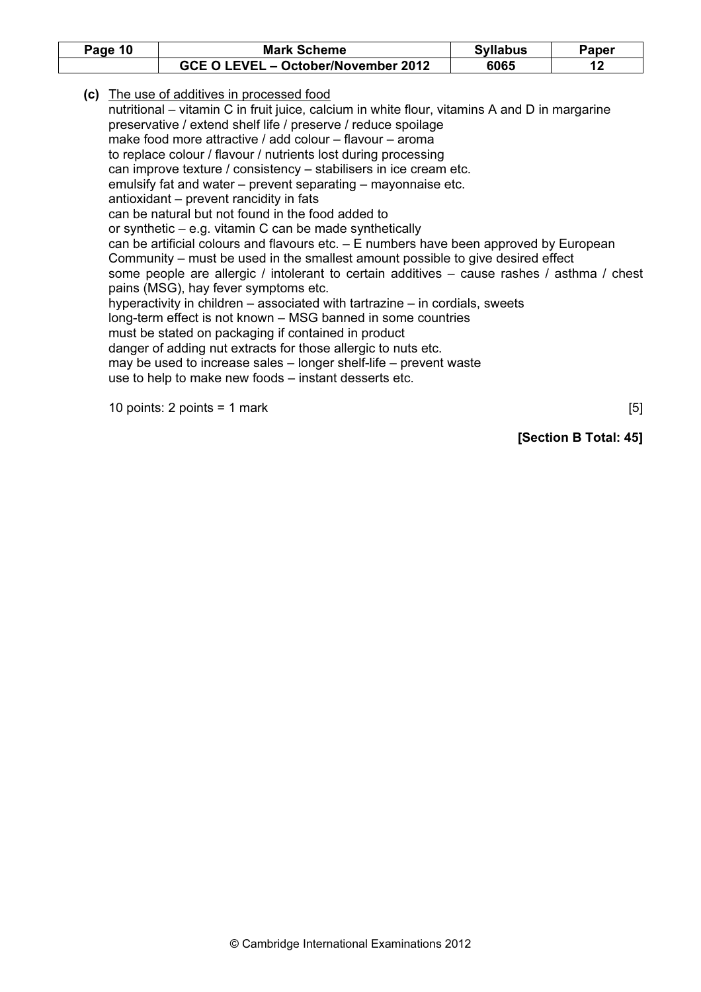| Page 10 | <b>Mark Scheme</b>                  | <b>Syllabus</b> | Paper |
|---------|-------------------------------------|-----------------|-------|
|         | GCE O LEVEL - October/November 2012 | 6065            |       |

(c) The use of additives in processed food nutritional – vitamin C in fruit juice, calcium in white flour, vitamins A and D in margarine preservative / extend shelf life / preserve / reduce spoilage make food more attractive / add colour – flavour – aroma to replace colour / flavour / nutrients lost during processing can improve texture / consistency – stabilisers in ice cream etc. emulsify fat and water – prevent separating – mayonnaise etc. antioxidant – prevent rancidity in fats can be natural but not found in the food added to or synthetic – e.g. vitamin C can be made synthetically can be artificial colours and flavours etc. – E numbers have been approved by European Community – must be used in the smallest amount possible to give desired effect some people are allergic / intolerant to certain additives – cause rashes / asthma / chest pains (MSG), hay fever symptoms etc. hyperactivity in children – associated with tartrazine – in cordials, sweets long-term effect is not known – MSG banned in some countries must be stated on packaging if contained in product danger of adding nut extracts for those allergic to nuts etc. may be used to increase sales – longer shelf-life – prevent waste use to help to make new foods – instant desserts etc.

10 points: 2 points = 1 mark  $[5]$ 

[Section B Total: 45]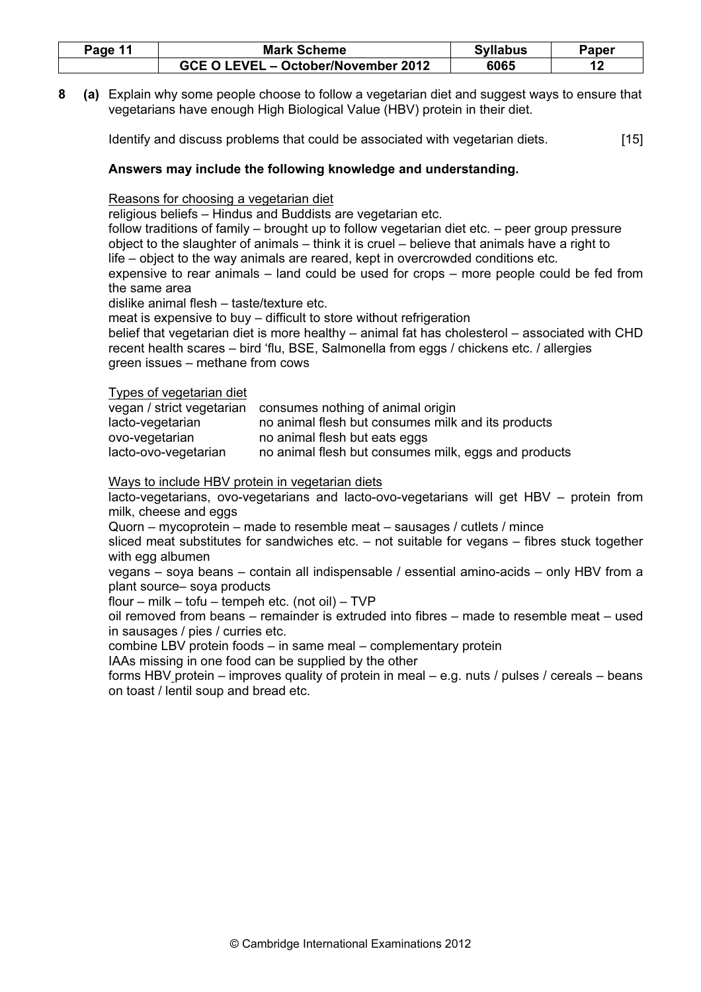| Page 11 | <b>Mark Scheme</b>                  | <b>Syllabus</b> | Paper |
|---------|-------------------------------------|-----------------|-------|
|         | GCE O LEVEL - October/November 2012 | 6065            |       |

8 (a) Explain why some people choose to follow a vegetarian diet and suggest ways to ensure that vegetarians have enough High Biological Value (HBV) protein in their diet.

Identify and discuss problems that could be associated with vegetarian diets. [15]

# Answers may include the following knowledge and understanding.

# Reasons for choosing a vegetarian diet

religious beliefs – Hindus and Buddists are vegetarian etc.

follow traditions of family – brought up to follow vegetarian diet etc. – peer group pressure object to the slaughter of animals – think it is cruel – believe that animals have a right to life – object to the way animals are reared, kept in overcrowded conditions etc. expensive to rear animals – land could be used for crops – more people could be fed from the same area

dislike animal flesh – taste/texture etc.

meat is expensive to buy – difficult to store without refrigeration

belief that vegetarian diet is more healthy – animal fat has cholesterol – associated with CHD recent health scares – bird 'flu, BSE, Salmonella from eggs / chickens etc. / allergies green issues – methane from cows

# Types of vegetarian diet

|                      | vegan / strict vegetarian consumes nothing of animal origin |
|----------------------|-------------------------------------------------------------|
| lacto-vegetarian     | no animal flesh but consumes milk and its products          |
| ovo-vegetarian       | no animal flesh but eats eggs                               |
| lacto-ovo-vegetarian | no animal flesh but consumes milk, eggs and products        |

# Ways to include HBV protein in vegetarian diets

 lacto-vegetarians, ovo-vegetarians and lacto-ovo-vegetarians will get HBV – protein from milk, cheese and eggs

Quorn – mycoprotein – made to resemble meat – sausages / cutlets / mince

 sliced meat substitutes for sandwiches etc. – not suitable for vegans – fibres stuck together with egg albumen

 vegans – soya beans – contain all indispensable / essential amino-acids – only HBV from a plant source– soya products

flour – milk – tofu – tempeh etc. (not oil) –  $TVP$ 

 oil removed from beans – remainder is extruded into fibres – made to resemble meat – used in sausages / pies / curries etc.

combine LBV protein foods – in same meal – complementary protein

IAAs missing in one food can be supplied by the other

 forms HBV protein – improves quality of protein in meal – e.g. nuts / pulses / cereals – beans on toast / lentil soup and bread etc.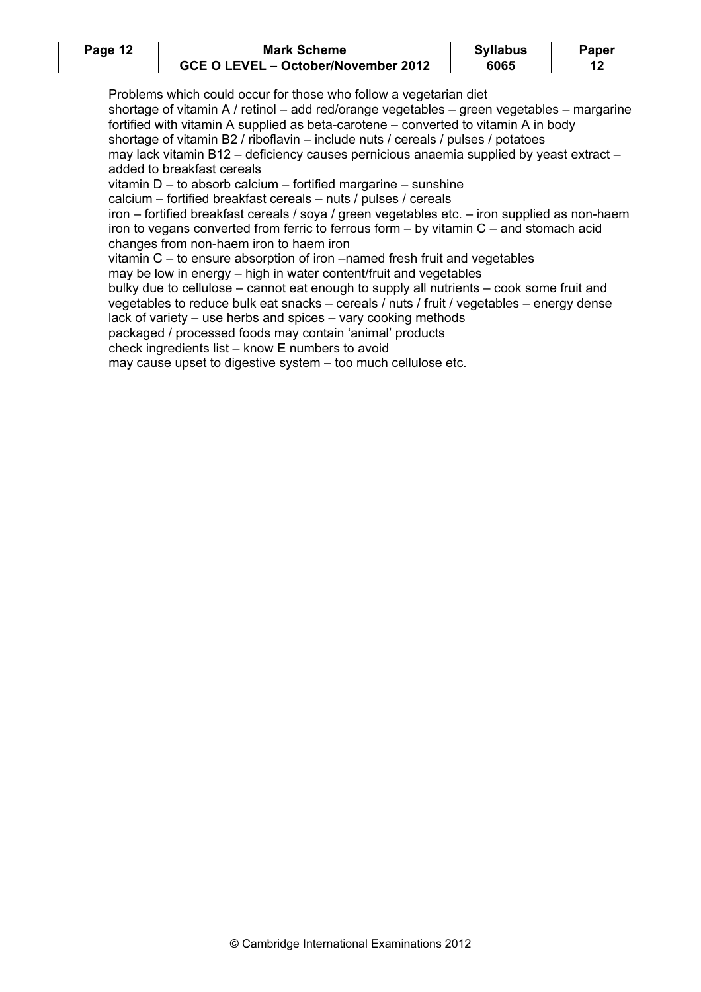| Page 12 | <b>Mark Scheme</b>                  | <b>Syllabus</b> | Paper |
|---------|-------------------------------------|-----------------|-------|
|         | GCE O LEVEL - October/November 2012 | 6065            |       |

Problems which could occur for those who follow a vegetarian diet

 shortage of vitamin A / retinol – add red/orange vegetables – green vegetables – margarine fortified with vitamin A supplied as beta-carotene – converted to vitamin A in body shortage of vitamin B2 / riboflavin – include nuts / cereals / pulses / potatoes may lack vitamin B12 – deficiency causes pernicious anaemia supplied by yeast extract – added to breakfast cereals

vitamin D – to absorb calcium – fortified margarine – sunshine

calcium – fortified breakfast cereals – nuts / pulses / cereals

 iron – fortified breakfast cereals / soya / green vegetables etc. – iron supplied as non-haem iron to vegans converted from ferric to ferrous form – by vitamin C – and stomach acid changes from non-haem iron to haem iron

vitamin C – to ensure absorption of iron –named fresh fruit and vegetables

may be low in energy – high in water content/fruit and vegetables

 bulky due to cellulose – cannot eat enough to supply all nutrients – cook some fruit and vegetables to reduce bulk eat snacks – cereals / nuts / fruit / vegetables – energy dense

lack of variety – use herbs and spices – vary cooking methods

packaged / processed foods may contain 'animal' products

check ingredients list – know E numbers to avoid

may cause upset to digestive system – too much cellulose etc.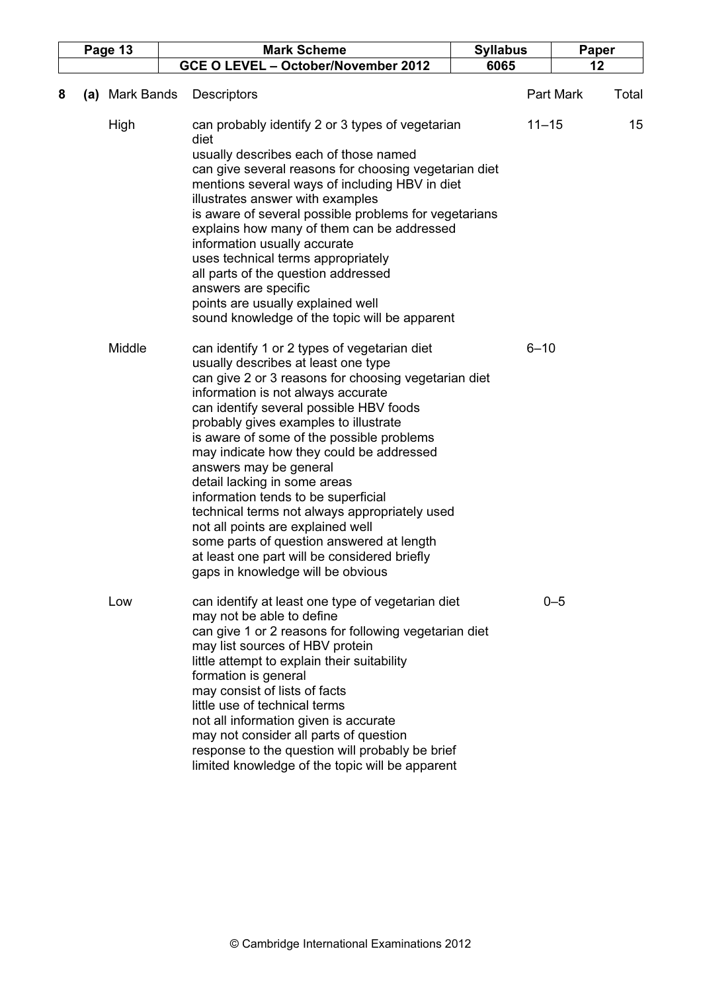|   |     | Page 13           | <b>Mark Scheme</b>                                                                                                                                                                                                                                                                                                                                                                                                                                                                                                                                                                                                                                                                      | <b>Syllabus</b> | Paper              |
|---|-----|-------------------|-----------------------------------------------------------------------------------------------------------------------------------------------------------------------------------------------------------------------------------------------------------------------------------------------------------------------------------------------------------------------------------------------------------------------------------------------------------------------------------------------------------------------------------------------------------------------------------------------------------------------------------------------------------------------------------------|-----------------|--------------------|
|   |     |                   | GCE O LEVEL - October/November 2012                                                                                                                                                                                                                                                                                                                                                                                                                                                                                                                                                                                                                                                     | 6065            | 12                 |
| 8 | (a) | <b>Mark Bands</b> | <b>Descriptors</b>                                                                                                                                                                                                                                                                                                                                                                                                                                                                                                                                                                                                                                                                      |                 | Part Mark<br>Total |
|   |     | High              | can probably identify 2 or 3 types of vegetarian<br>diet<br>usually describes each of those named<br>can give several reasons for choosing vegetarian diet<br>mentions several ways of including HBV in diet<br>illustrates answer with examples<br>is aware of several possible problems for vegetarians<br>explains how many of them can be addressed<br>information usually accurate<br>uses technical terms appropriately<br>all parts of the question addressed<br>answers are specific<br>points are usually explained well<br>sound knowledge of the topic will be apparent                                                                                                      | $11 - 15$       | 15                 |
|   |     | Middle            | can identify 1 or 2 types of vegetarian diet<br>usually describes at least one type<br>can give 2 or 3 reasons for choosing vegetarian diet<br>information is not always accurate<br>can identify several possible HBV foods<br>probably gives examples to illustrate<br>is aware of some of the possible problems<br>may indicate how they could be addressed<br>answers may be general<br>detail lacking in some areas<br>information tends to be superficial<br>technical terms not always appropriately used<br>not all points are explained well<br>some parts of question answered at length<br>at least one part will be considered briefly<br>gaps in knowledge will be obvious | $6 - 10$        |                    |
|   |     | Low               | can identify at least one type of vegetarian diet<br>may not be able to define<br>can give 1 or 2 reasons for following vegetarian diet<br>may list sources of HBV protein<br>little attempt to explain their suitability<br>formation is general<br>may consist of lists of facts<br>little use of technical terms<br>not all information given is accurate<br>may not consider all parts of question<br>response to the question will probably be brief<br>limited knowledge of the topic will be apparent                                                                                                                                                                            |                 | $0 - 5$            |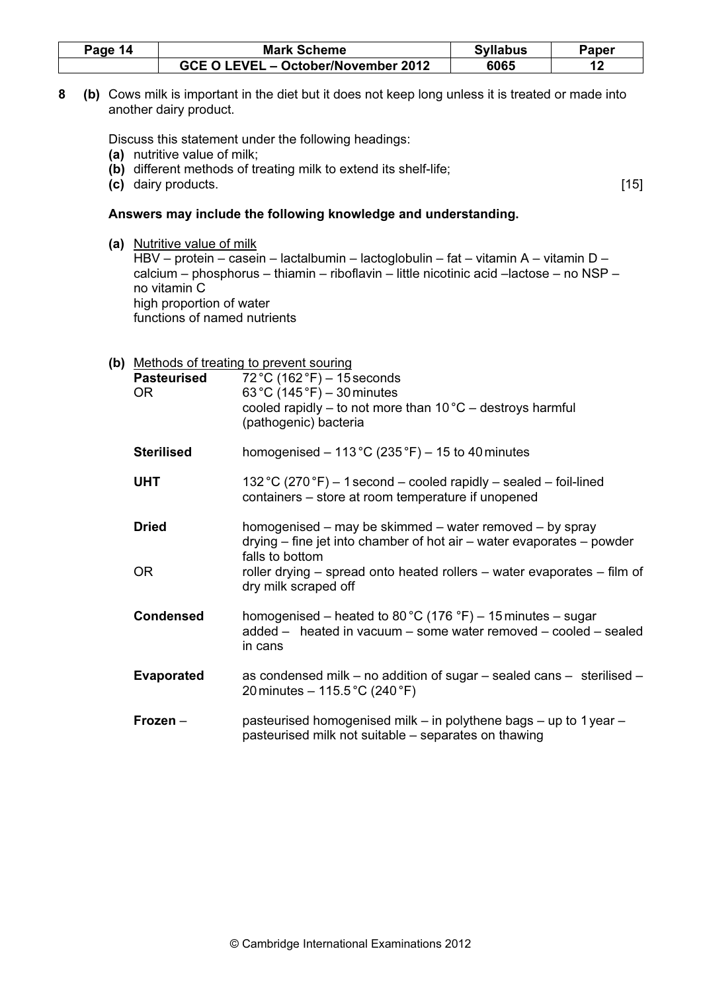| Page 14 | <b>Mark Scheme</b>                  | <b>Syllabus</b> | Paper |
|---------|-------------------------------------|-----------------|-------|
|         | GCE O LEVEL - October/November 2012 | 6065            |       |

8 (b) Cows milk is important in the diet but it does not keep long unless it is treated or made into another dairy product.

Discuss this statement under the following headings:

- (a) nutritive value of milk;
- (b) different methods of treating milk to extend its shelf-life;
- (c) dairy products. [15]

#### Answers may include the following knowledge and understanding.

 (a) Nutritive value of milk HBV – protein – casein – lactalbumin – lactoglobulin – fat – vitamin A – vitamin D – calcium – phosphorus – thiamin – riboflavin – little nicotinic acid –lactose – no NSP – no vitamin C high proportion of water functions of named nutrients

| <b>Pasteurised</b><br><b>OR</b> | (b) Methods of treating to prevent souring<br>$72 °C (162 °F) - 15$ seconds<br>63 °C (145 °F) – 30 minutes<br>cooled rapidly $-$ to not more than 10 °C $-$ destroys harmful<br>(pathogenic) bacteria                                                    |
|---------------------------------|----------------------------------------------------------------------------------------------------------------------------------------------------------------------------------------------------------------------------------------------------------|
| <b>Sterilised</b>               | homogenised $-113$ °C (235 °F) $-15$ to 40 minutes                                                                                                                                                                                                       |
| <b>UHT</b>                      | 132 °C (270 °F) – 1 second – cooled rapidly – sealed – foil-lined<br>containers – store at room temperature if unopened                                                                                                                                  |
| <b>Dried</b><br><b>OR</b>       | homogenised – may be skimmed – water removed – by spray<br>$drying$ – fine jet into chamber of hot air – water evaporates – powder<br>falls to bottom<br>roller drying – spread onto heated rollers – water evaporates – film of<br>dry milk scraped off |
| <b>Condensed</b>                | homogenised – heated to 80 °C (176 °F) – 15 minutes – sugar<br>added - heated in vacuum - some water removed - cooled - sealed<br>in cans                                                                                                                |
| <b>Evaporated</b>               | as condensed milk – no addition of sugar – sealed cans – sterilised –<br>20 minutes – 115.5 °C (240 °F)                                                                                                                                                  |
| $Frozen -$                      | pasteurised homogenised milk – in polythene bags – up to 1 year –<br>pasteurised milk not suitable – separates on thawing                                                                                                                                |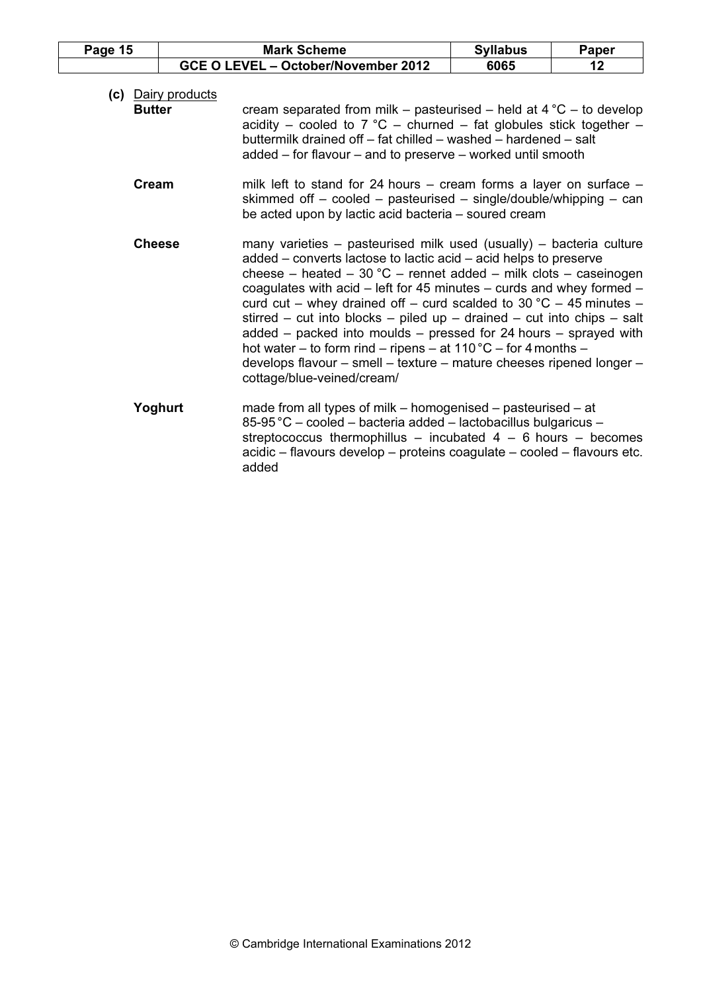| Page 15       |                    | <b>Mark Scheme</b>                                                                                                                                                                                                                                                                                                                                                                                                                                                                                                                                                                                                                                                                                  | <b>Syllabus</b> | Paper |
|---------------|--------------------|-----------------------------------------------------------------------------------------------------------------------------------------------------------------------------------------------------------------------------------------------------------------------------------------------------------------------------------------------------------------------------------------------------------------------------------------------------------------------------------------------------------------------------------------------------------------------------------------------------------------------------------------------------------------------------------------------------|-----------------|-------|
|               |                    | GCE O LEVEL - October/November 2012                                                                                                                                                                                                                                                                                                                                                                                                                                                                                                                                                                                                                                                                 | 6065            | 12    |
| <b>Butter</b> | (c) Dairy products | cream separated from milk – pasteurised – held at $4^{\circ}C$ – to develop<br>acidity – cooled to 7 °C – churned – fat globules stick together –<br>buttermilk drained off - fat chilled - washed - hardened - salt<br>added – for flavour – and to preserve – worked until smooth                                                                                                                                                                                                                                                                                                                                                                                                                 |                 |       |
| Cream         |                    | milk left to stand for 24 hours $-$ cream forms a layer on surface $-$<br>skimmed off $-$ cooled $-$ pasteurised $-$ single/double/whipping $-$ can<br>be acted upon by lactic acid bacteria - soured cream                                                                                                                                                                                                                                                                                                                                                                                                                                                                                         |                 |       |
| <b>Cheese</b> |                    | many varieties – pasteurised milk used (usually) – bacteria culture<br>added - converts lactose to lactic acid - acid helps to preserve<br>cheese – heated – 30 °C – rennet added – milk clots – caseinogen<br>coagulates with acid $-$ left for 45 minutes $-$ curds and whey formed $-$<br>curd cut – whey drained off – curd scalded to 30 °C – 45 minutes –<br>stirred – cut into blocks – piled up – drained – cut into chips – salt<br>added $-$ packed into moulds $-$ pressed for 24 hours $-$ sprayed with<br>hot water – to form rind – ripens – at $110\degree C$ – for 4 months –<br>develops flavour - smell - texture - mature cheeses ripened longer -<br>cottage/blue-veined/cream/ |                 |       |
|               | Yoghurt            | made from all types of milk $-$ homogenised $-$ pasteurised $-$ at<br>85-95 °C - cooled - bacteria added - lactobacillus bulgaricus -<br>streptococcus thermophillus – incubated $4 - 6$ hours – becomes<br>acidic - flavours develop - proteins coagulate - cooled - flavours etc.<br>added                                                                                                                                                                                                                                                                                                                                                                                                        |                 |       |